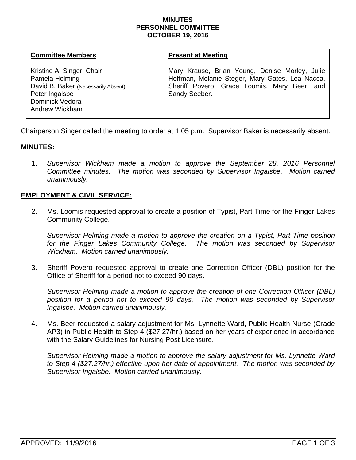#### **MINUTES PERSONNEL COMMITTEE OCTOBER 19, 2016**

| <b>Committee Members</b>                                                                                                                         | <b>Present at Meeting</b>                                                                                                                                          |
|--------------------------------------------------------------------------------------------------------------------------------------------------|--------------------------------------------------------------------------------------------------------------------------------------------------------------------|
| Kristine A. Singer, Chair<br>Pamela Helming<br>David B. Baker (Necessarily Absent)<br>Peter Ingalsbe<br>Dominick Vedora<br><b>Andrew Wickham</b> | Mary Krause, Brian Young, Denise Morley, Julie<br>Hoffman, Melanie Steger, Mary Gates, Lea Nacca,<br>Sheriff Povero, Grace Loomis, Mary Beer, and<br>Sandy Seeber. |

Chairperson Singer called the meeting to order at 1:05 p.m. Supervisor Baker is necessarily absent.

### **MINUTES:**

1. *Supervisor Wickham made a motion to approve the September 28, 2016 Personnel Committee minutes. The motion was seconded by Supervisor Ingalsbe. Motion carried unanimously.*

# **EMPLOYMENT & CIVIL SERVICE:**

2. Ms. Loomis requested approval to create a position of Typist, Part-Time for the Finger Lakes Community College.

*Supervisor Helming made a motion to approve the creation on a Typist, Part-Time position* for the Finger Lakes Community College. The motion was seconded by Supervisor *Wickham. Motion carried unanimously.*

3. Sheriff Povero requested approval to create one Correction Officer (DBL) position for the Office of Sheriff for a period not to exceed 90 days.

*Supervisor Helming made a motion to approve the creation of one Correction Officer (DBL) position for a period not to exceed 90 days. The motion was seconded by Supervisor Ingalsbe. Motion carried unanimously.* 

4. Ms. Beer requested a salary adjustment for Ms. Lynnette Ward, Public Health Nurse (Grade AP3) in Public Health to Step 4 (\$27.27/hr.) based on her years of experience in accordance with the Salary Guidelines for Nursing Post Licensure.

*Supervisor Helming made a motion to approve the salary adjustment for Ms. Lynnette Ward to Step 4 (\$27.27/hr.) effective upon her date of appointment. The motion was seconded by Supervisor Ingalsbe. Motion carried unanimously.*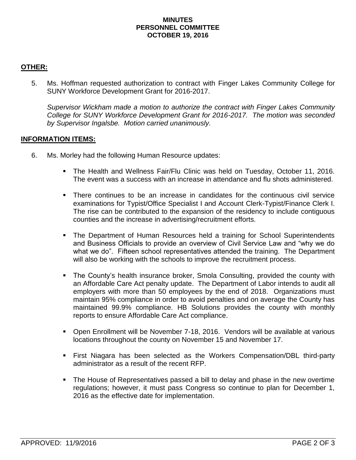#### **MINUTES PERSONNEL COMMITTEE OCTOBER 19, 2016**

# **OTHER:**

5. Ms. Hoffman requested authorization to contract with Finger Lakes Community College for SUNY Workforce Development Grant for 2016-2017.

*Supervisor Wickham made a motion to authorize the contract with Finger Lakes Community College for SUNY Workforce Development Grant for 2016-2017. The motion was seconded by Supervisor Ingalsbe. Motion carried unanimously.*

# **INFORMATION ITEMS:**

- 6. Ms. Morley had the following Human Resource updates:
	- The Health and Wellness Fair/Flu Clinic was held on Tuesday, October 11, 2016. The event was a success with an increase in attendance and flu shots administered.
	- There continues to be an increase in candidates for the continuous civil service examinations for Typist/Office Specialist I and Account Clerk-Typist/Finance Clerk I. The rise can be contributed to the expansion of the residency to include contiguous counties and the increase in advertising/recruitment efforts.
	- The Department of Human Resources held a training for School Superintendents and Business Officials to provide an overview of Civil Service Law and "why we do what we do". Fifteen school representatives attended the training. The Department will also be working with the schools to improve the recruitment process.
	- The County's health insurance broker, Smola Consulting, provided the county with an Affordable Care Act penalty update. The Department of Labor intends to audit all employers with more than 50 employees by the end of 2018. Organizations must maintain 95% compliance in order to avoid penalties and on average the County has maintained 99.9% compliance. HB Solutions provides the county with monthly reports to ensure Affordable Care Act compliance.
	- Open Enrollment will be November 7-18, 2016. Vendors will be available at various locations throughout the county on November 15 and November 17.
	- First Niagara has been selected as the Workers Compensation/DBL third-party administrator as a result of the recent RFP.
	- The House of Representatives passed a bill to delay and phase in the new overtime regulations; however, it must pass Congress so continue to plan for December 1, 2016 as the effective date for implementation.